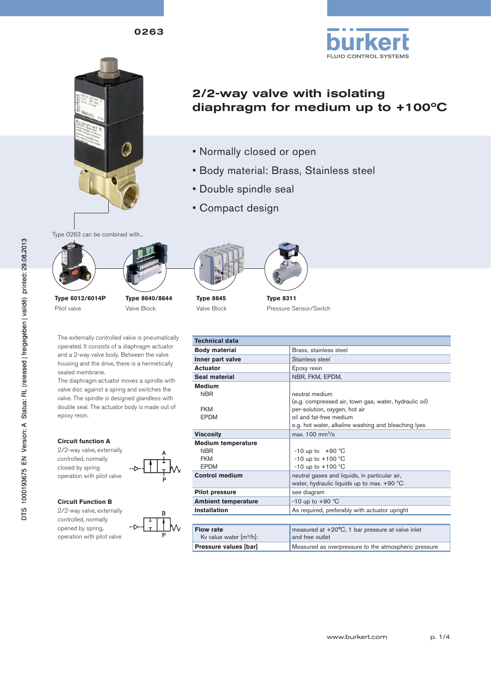0263



# 2/2-way valve with isolating diaphragm for medium up to +100ºC

- Normally closed or open
- Body material: Brass, Stainless steel
- Double spindle seal
- Compact design

Type 0263 can be combined with...



**Type 6012/6014P** Pilot valve







**Type 8645** Valve Block

**Technical data** 

**Type 8311**

Pressure Sensor/Switch

| The externally controlled valve is pneumatically |
|--------------------------------------------------|
| operated. It consists of a diaphragm actuator    |
| and a 2-way valve body. Between the valve        |
| housing and the drive, there is a hermetically   |
| sealed membrane.                                 |

The diaphragm actuator moves a spindle with valve disc against a spring and switches the valve. The spindle is designed glandless with double seal. The actuator body is made out of epoxy resin.

| <b>Body material</b>       | Brass, stainless steel                                     |
|----------------------------|------------------------------------------------------------|
| Inner part valve           | Stainless steel                                            |
| <b>Actuator</b>            | Epoxy resin                                                |
| Seal material              | NBR, FKM, EPDM,                                            |
| <b>Medium</b>              |                                                            |
| <b>NBR</b>                 | neutral medium                                             |
|                            | (e.g. compressed air, town gas, water, hydraulic oil)      |
| <b>FKM</b>                 | per-solution, oxygen, hot air                              |
| <b>EPDM</b>                | oil and fat-free medium                                    |
|                            | e.g. hot water, alkaline washing and bleaching lyes        |
| <b>Viscosity</b>           | max. $100 \text{ mm}^2\text{/s}$                           |
| <b>Medium temperature</b>  |                                                            |
| <b>NBR</b>                 | $-10$ up to $+90$ °C                                       |
| <b>FKM</b>                 | $-10$ up to $+100$ °C                                      |
| <b>EPDM</b>                | $-10$ up to $+100$ °C                                      |
| <b>Control medium</b>      | neutral gases and liquids, in particular air,              |
|                            | water, hydraulic liquids up to max. $+90$ °C               |
| <b>Pilot pressure</b>      | see diagram                                                |
| <b>Ambient temperature</b> | $-10$ up to $+90$ °C                                       |
| <b>Installation</b>        | As required, preferably with actuator upright              |
|                            |                                                            |
| <b>Flow rate</b>           | measured at $+20^{\circ}$ C, 1 bar pressure at valve inlet |
| Kv value water $[m^3/h]$ : | and free outlet                                            |

**Pressure values [bar]** Measured as overpressure to the atmospheric pressure

#### **Circuit function A**

2/2-way valve, externally controlled, normally closed by spring operation with pilot valve

#### **Circuit Function B**

2/2-way valve, externally controlled, normally opened by spring, operation with pilot valve

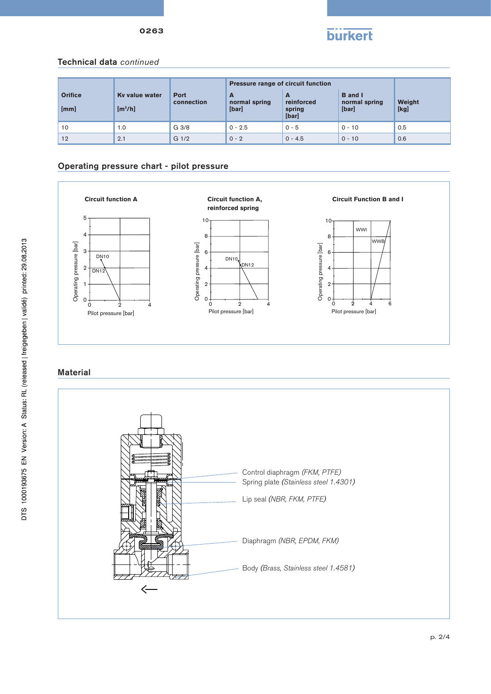



#### Technical data *continued*

|                        |                                       |                           | Pressure range of circuit function |                                    |                                          |                |
|------------------------|---------------------------------------|---------------------------|------------------------------------|------------------------------------|------------------------------------------|----------------|
| <b>Orifice</b><br>[mm] | Ky value water<br>[m <sup>3</sup> /h] | <b>Port</b><br>connection | A<br>normal spring<br>[bar]        | A<br>reinforced<br>spring<br>[bar] | <b>B</b> and I<br>normal spring<br>[bar] | Weight<br>[kg] |
| 10                     | 1.0                                   | G <sub>3/8</sub>          | $0 - 2.5$                          | $0 - 5$                            | $0 - 10$                                 | 0.5            |
| 12                     | 2.1                                   | G <sub>1/2</sub>          | $0 - 2$                            | $0 - 4.5$                          | $0 - 10$                                 | 0.6            |

#### Operating pressure chart - pilot pressure



### **Material**

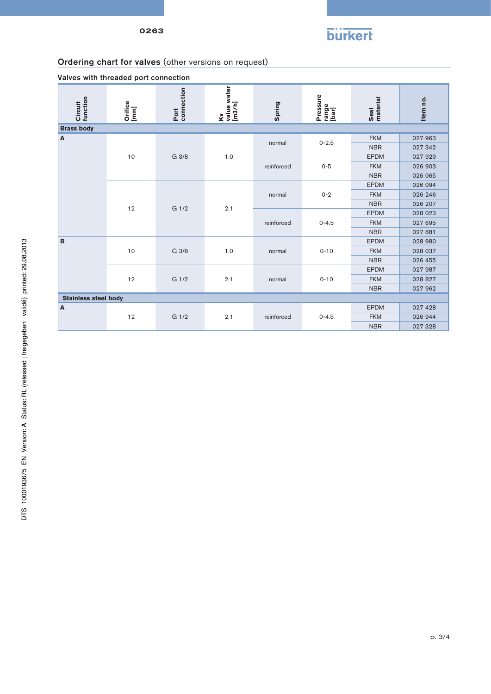

## Ordering chart for valves (other versions on request)

| an os with the odd od port composition |                    |                    |                            |            |                            |                  |          |  |
|----------------------------------------|--------------------|--------------------|----------------------------|------------|----------------------------|------------------|----------|--|
| function<br>Circuit                    | Orifice<br>[mm]    | Port<br>connection | value water<br>[m3/h]<br>ζ | Spring     | Pressure<br>range<br>[bar] | Seal<br>material | Item no. |  |
| <b>Brass body</b>                      |                    |                    |                            |            |                            |                  |          |  |
| A                                      | 10                 | G 3/8              | 1.0                        | normal     | $0 - 2.5$                  | <b>FKM</b>       | 027 963  |  |
|                                        |                    |                    |                            |            |                            | <b>NBR</b>       | 027 342  |  |
|                                        |                    |                    |                            | reinforced | $0 - 5$                    | <b>EPDM</b>      | 027 929  |  |
|                                        |                    |                    |                            |            |                            | <b>FKM</b>       | 026 903  |  |
|                                        |                    |                    |                            |            |                            | <b>NBR</b>       | 026 065  |  |
|                                        | 12                 | G 1/2              |                            |            | $0 - 2$                    | <b>EPDM</b>      | 026 094  |  |
|                                        |                    |                    |                            | normal     |                            | <b>FKM</b>       | 026 246  |  |
|                                        |                    |                    | 2.1                        |            |                            | <b>NBR</b>       | 026 207  |  |
|                                        |                    |                    |                            | reinforced | $0 - 4.5$                  | <b>EPDM</b>      | 028 023  |  |
|                                        |                    |                    |                            |            |                            | <b>FKM</b>       | 027 695  |  |
|                                        |                    |                    |                            |            |                            | <b>NBR</b>       | 027 881  |  |
| B                                      | 10                 | G 3/8              | 1.0                        | normal     | $0 - 10$                   | <b>EPDM</b>      | 028 980  |  |
|                                        |                    |                    |                            |            |                            | <b>FKM</b>       | 028 037  |  |
|                                        |                    |                    |                            |            |                            | <b>NBR</b>       | 026 455  |  |
|                                        | 12                 | $G$ 1/2            | 2.1                        | normal     | $0 - 10$                   | <b>EPDM</b>      | 027 987  |  |
|                                        |                    |                    |                            |            |                            | <b>FKM</b>       | 028 827  |  |
|                                        |                    |                    |                            |            |                            | <b>NBR</b>       | 027 962  |  |
| <b>Stainless steel body</b>            |                    |                    |                            |            |                            |                  |          |  |
| A                                      | G 1/2<br>2.1<br>12 |                    |                            |            | <b>EPDM</b>                | 027 428          |          |  |
|                                        |                    |                    | reinforced                 |            | $0 - 4.5$                  | <b>FKM</b>       | 026 944  |  |
|                                        |                    |                    |                            |            | <b>NBR</b>                 | 027 328          |          |  |

Valves with threaded port connection